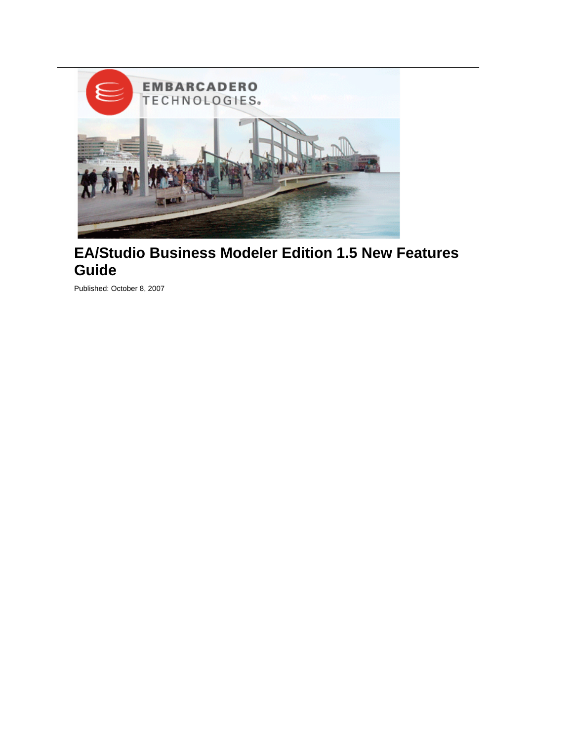

# **EA/Studio Business Modeler Edition 1.5 New Features Guide**

Published: October 8, 2007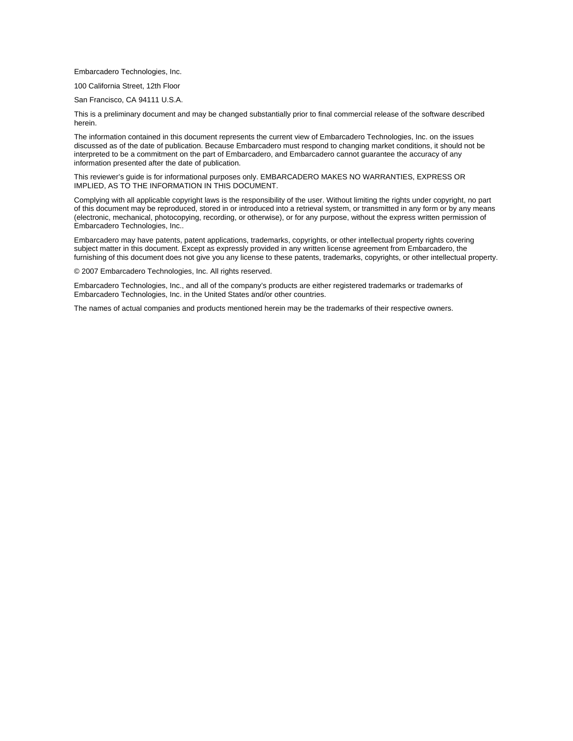Embarcadero Technologies, Inc.

100 California Street, 12th Floor

San Francisco, CA 94111 U.S.A.

This is a preliminary document and may be changed substantially prior to final commercial release of the software described herein.

The information contained in this document represents the current view of Embarcadero Technologies, Inc. on the issues discussed as of the date of publication. Because Embarcadero must respond to changing market conditions, it should not be interpreted to be a commitment on the part of Embarcadero, and Embarcadero cannot guarantee the accuracy of any information presented after the date of publication.

This reviewer's guide is for informational purposes only. EMBARCADERO MAKES NO WARRANTIES, EXPRESS OR IMPLIED, AS TO THE INFORMATION IN THIS DOCUMENT.

Complying with all applicable copyright laws is the responsibility of the user. Without limiting the rights under copyright, no part of this document may be reproduced, stored in or introduced into a retrieval system, or transmitted in any form or by any means (electronic, mechanical, photocopying, recording, or otherwise), or for any purpose, without the express written permission of Embarcadero Technologies, Inc..

Embarcadero may have patents, patent applications, trademarks, copyrights, or other intellectual property rights covering subject matter in this document. Except as expressly provided in any written license agreement from Embarcadero, the furnishing of this document does not give you any license to these patents, trademarks, copyrights, or other intellectual property.

© 2007 Embarcadero Technologies, Inc. All rights reserved.

Embarcadero Technologies, Inc., and all of the company's products are either registered trademarks or trademarks of Embarcadero Technologies, Inc. in the United States and/or other countries.

The names of actual companies and products mentioned herein may be the trademarks of their respective owners.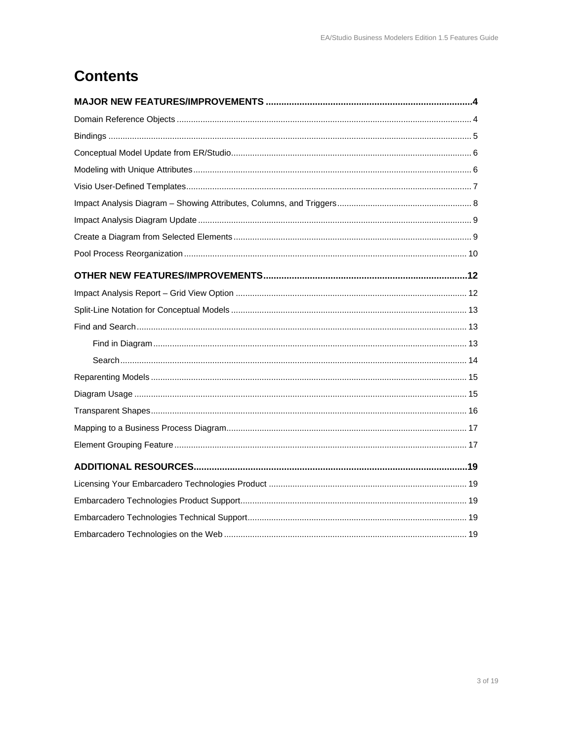# **Contents**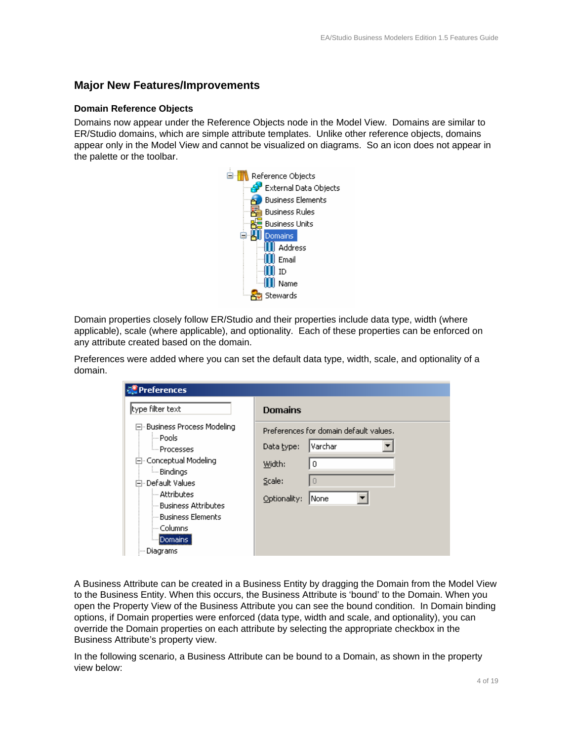## **Major New Features/Improvements**

#### **Domain Reference Objects**

Domains now appear under the Reference Objects node in the Model View. Domains are similar to ER/Studio domains, which are simple attribute templates. Unlike other reference objects, domains appear only in the Model View and cannot be visualized on diagrams. So an icon does not appear in the palette or the toolbar.



Domain properties closely follow ER/Studio and their properties include data type, width (where applicable), scale (where applicable), and optionality. Each of these properties can be enforced on any attribute created based on the domain.

Preferences were added where you can set the default data type, width, scale, and optionality of a domain.

| <b>Preferences</b>                                                                                                                                                                                                                                          |                                                                                                                                    |
|-------------------------------------------------------------------------------------------------------------------------------------------------------------------------------------------------------------------------------------------------------------|------------------------------------------------------------------------------------------------------------------------------------|
| type filter text                                                                                                                                                                                                                                            | <b>Domains</b>                                                                                                                     |
| ⊟- Business Process Modeling<br>l— Pools<br><b>Em Processes</b><br>白 Conceptual Modeling<br><b>Em</b> Bindings<br>户·Default Values<br>— Attributes<br><sup>i…</sup> Business Attributes<br>— Business Elements<br>— Columns<br><b>E</b> Domains<br>Diagrams | Preferences for domain default values.<br>lVarchar<br>Data type:<br>Width:<br>$\Omega$<br>Scale:<br>$\Box$<br>Optionality:<br>None |

A Business Attribute can be created in a Business Entity by dragging the Domain from the Model View to the Business Entity. When this occurs, the Business Attribute is 'bound' to the Domain. When you open the Property View of the Business Attribute you can see the bound condition. In Domain binding options, if Domain properties were enforced (data type, width and scale, and optionality), you can override the Domain properties on each attribute by selecting the appropriate checkbox in the Business Attribute's property view.

In the following scenario, a Business Attribute can be bound to a Domain, as shown in the property view below: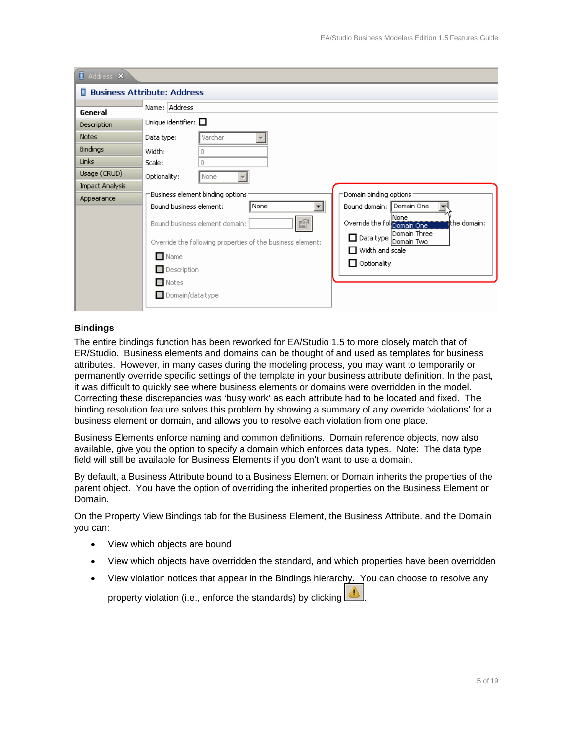| Address X              |                                                                                                                                                                                        |
|------------------------|----------------------------------------------------------------------------------------------------------------------------------------------------------------------------------------|
| п                      | <b>Business Attribute: Address</b>                                                                                                                                                     |
| General                | Name: Address                                                                                                                                                                          |
| <b>Description</b>     | Unique identifier: $\Box$                                                                                                                                                              |
| <b>Notes</b>           | Varchar<br>Data type:                                                                                                                                                                  |
| <b>Bindings</b>        | Width:<br>n                                                                                                                                                                            |
| <b>Links</b>           | Scale:<br>n                                                                                                                                                                            |
| Usage (CRUD)           | Optionality:<br>None                                                                                                                                                                   |
| <b>Impact Analysis</b> |                                                                                                                                                                                        |
| Appearance             |                                                                                                                                                                                        |
|                        |                                                                                                                                                                                        |
|                        | ß<br>Override the following One<br>the domain:<br>Bound business element domain:                                                                                                       |
|                        | □ Data type<br>Domain Two<br>Override the following properties of the business element:                                                                                                |
|                        | $\Box$ Width and scale                                                                                                                                                                 |
|                        | $\Box$ Optionality                                                                                                                                                                     |
|                        | $\Box$ Notes                                                                                                                                                                           |
|                        | $\Box$ Domain/data type                                                                                                                                                                |
|                        | Domain binding options<br>Business element binding options<br>Bound domain: Domain One<br>None<br>Bound business element:<br>None<br>Domain Three<br>$\Box$ Name<br>$\Box$ Description |

#### **Bindings**

The entire bindings function has been reworked for EA/Studio 1.5 to more closely match that of ER/Studio. Business elements and domains can be thought of and used as templates for business attributes. However, in many cases during the modeling process, you may want to temporarily or permanently override specific settings of the template in your business attribute definition. In the past, it was difficult to quickly see where business elements or domains were overridden in the model. Correcting these discrepancies was 'busy work' as each attribute had to be located and fixed. The binding resolution feature solves this problem by showing a summary of any override 'violations' for a business element or domain, and allows you to resolve each violation from one place.

Business Elements enforce naming and common definitions. Domain reference objects, now also available, give you the option to specify a domain which enforces data types. Note: The data type field will still be available for Business Elements if you don't want to use a domain.

By default, a Business Attribute bound to a Business Element or Domain inherits the properties of the parent object. You have the option of overriding the inherited properties on the Business Element or Domain.

On the Property View Bindings tab for the Business Element, the Business Attribute. and the Domain you can:

- View which objects are bound
- View which objects have overridden the standard, and which properties have been overridden
- View violation notices that appear in the Bindings hierarchy. You can choose to resolve any

property violation (i.e., enforce the standards) by clicking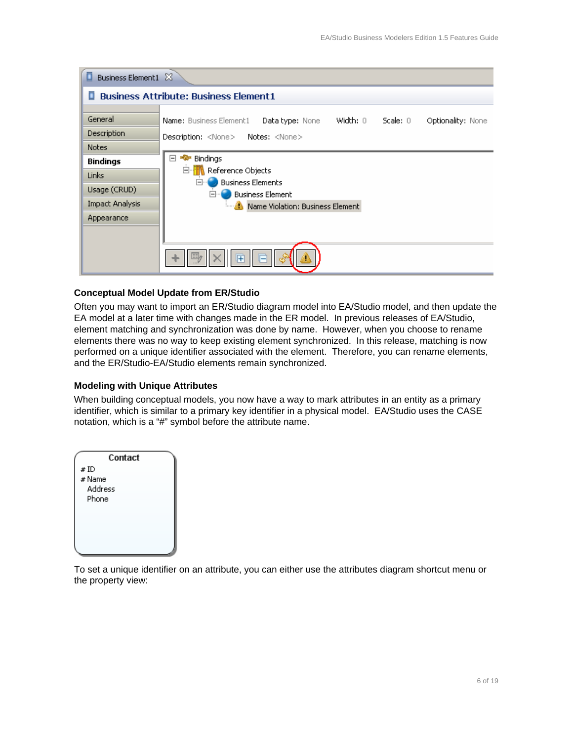| ◻<br>Business Element1 23                                                 |                                                                                                                                                                          |  |  |  |  |  |
|---------------------------------------------------------------------------|--------------------------------------------------------------------------------------------------------------------------------------------------------------------------|--|--|--|--|--|
| <b>Business Attribute: Business Element1</b><br>П                         |                                                                                                                                                                          |  |  |  |  |  |
| General<br>Description<br>Notes                                           | Width: 0<br>Scale: 0<br>Name: Business Element1<br>Optionality: None<br><b>Data type:</b> None<br>Description: <none> Notes: <none></none></none>                        |  |  |  |  |  |
| <b>Bindings</b><br><b>Links</b><br>Usage (CRUD)<br><b>Impact Analysis</b> | $\Box$<br><del>n</del> Bindings<br>Ė.<br><b>Reference Objects</b><br>Ėŀ<br><b>Business Elements</b><br><b>Business Element</b><br>日…<br>Mame Violation: Business Element |  |  |  |  |  |
| Appearance                                                                | $E =$                                                                                                                                                                    |  |  |  |  |  |

#### **Conceptual Model Update from ER/Studio**

Often you may want to import an ER/Studio diagram model into EA/Studio model, and then update the EA model at a later time with changes made in the ER model. In previous releases of EA/Studio, element matching and synchronization was done by name. However, when you choose to rename elements there was no way to keep existing element synchronized. In this release, matching is now performed on a unique identifier associated with the element. Therefore, you can rename elements, and the ER/Studio-EA/Studio elements remain synchronized.

#### **Modeling with Unique Attributes**

When building conceptual models, you now have a way to mark attributes in an entity as a primary identifier, which is similar to a primary key identifier in a physical model. EA/Studio uses the CASE notation, which is a "#" symbol before the attribute name.



To set a unique identifier on an attribute, you can either use the attributes diagram shortcut menu or the property view: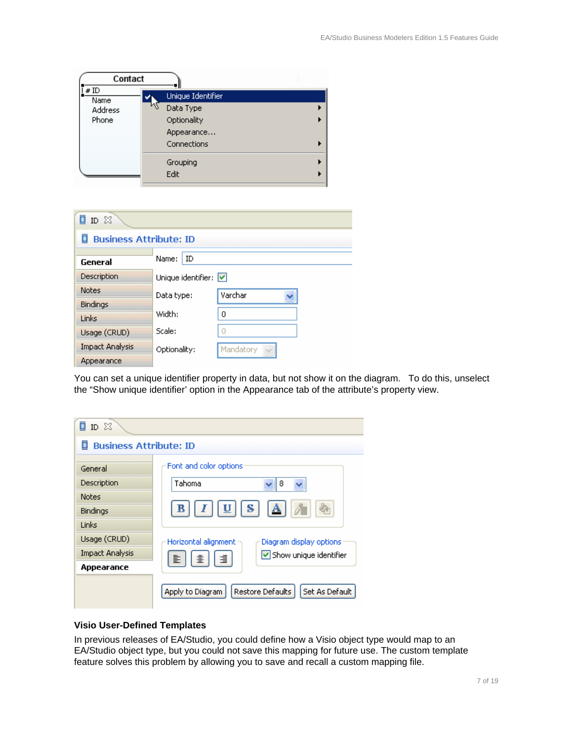| Contact                                |                                                                                             |  |
|----------------------------------------|---------------------------------------------------------------------------------------------|--|
| #ID<br>Name<br><b>Address</b><br>Phone | Unique Identifier<br>$\mathcal{W}$<br>Data Type<br>Optionality<br>Appearance<br>Connections |  |
|                                        | Grouping<br>Edit                                                                            |  |

| ID &                               |                                         |           |  |  |
|------------------------------------|-----------------------------------------|-----------|--|--|
| <b>Business Attribute: ID</b><br>п |                                         |           |  |  |
|                                    |                                         |           |  |  |
| General                            | Name:<br>ID                             |           |  |  |
| Description                        | Unique identifier: $\boxed{\checkmark}$ |           |  |  |
| <b>Notes</b>                       | Data type:                              | Varchar   |  |  |
| <b>Bindings</b>                    |                                         |           |  |  |
| Links                              | Width:                                  | 0         |  |  |
| Usage (CRUD)                       | Scale:                                  | Ō         |  |  |
| <b>Impact Analysis</b>             | Optionality:                            | Mandatory |  |  |
| Appearance                         |                                         |           |  |  |

You can set a unique identifier property in data, but not show it on the diagram. To do this, unselect the "Show unique identifier' option in the Appearance tab of the attribute's property view.

| ī<br>$ID \&$           |                                                        |  |  |  |  |
|------------------------|--------------------------------------------------------|--|--|--|--|
|                        | <b>Business Attribute: ID</b>                          |  |  |  |  |
| General                | Font and color options                                 |  |  |  |  |
| Description            | Tahoma<br>8                                            |  |  |  |  |
| <b>Notes</b>           |                                                        |  |  |  |  |
| Bindings               | $  I  \underline{U}  S  $<br>B<br> A                   |  |  |  |  |
| Links                  |                                                        |  |  |  |  |
| Usage (CRUD)           | Horizontal alignment<br>Diagram display options        |  |  |  |  |
| <b>Impact Analysis</b> | Show unique identifier<br>寚<br>重<br>圭                  |  |  |  |  |
| Appearance             |                                                        |  |  |  |  |
|                        | Set As Default<br>Restore Defaults<br>Apply to Diagram |  |  |  |  |

#### **Visio User-Defined Templates**

In previous releases of EA/Studio, you could define how a Visio object type would map to an EA/Studio object type, but you could not save this mapping for future use. The custom template feature solves this problem by allowing you to save and recall a custom mapping file.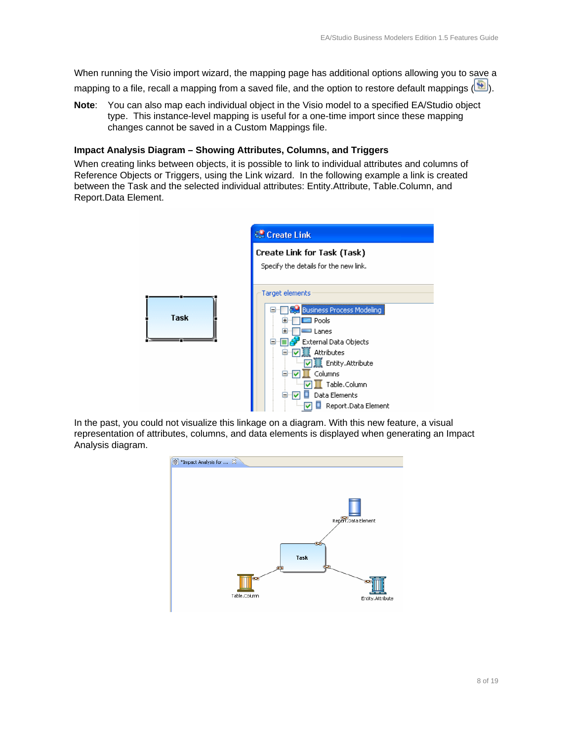When running the Visio import wizard, the mapping page has additional options allowing you to save a mapping to a file, recall a mapping from a saved file, and the option to restore default mappings ( $\Box$ ).

**Note**: You can also map each individual object in the Visio model to a specified EA/Studio object type. This instance-level mapping is useful for a one-time import since these mapping changes cannot be saved in a Custom Mappings file.

#### **Impact Analysis Diagram – Showing Attributes, Columns, and Triggers**

When creating links between objects, it is possible to link to individual attributes and columns of Reference Objects or Triggers, using the Link wizard. In the following example a link is created between the Task and the selected individual attributes: Entity.Attribute, Table.Column, and Report.Data Element.



In the past, you could not visualize this linkage on a diagram. With this new feature, a visual representation of attributes, columns, and data elements is displayed when generating an Impact Analysis diagram.

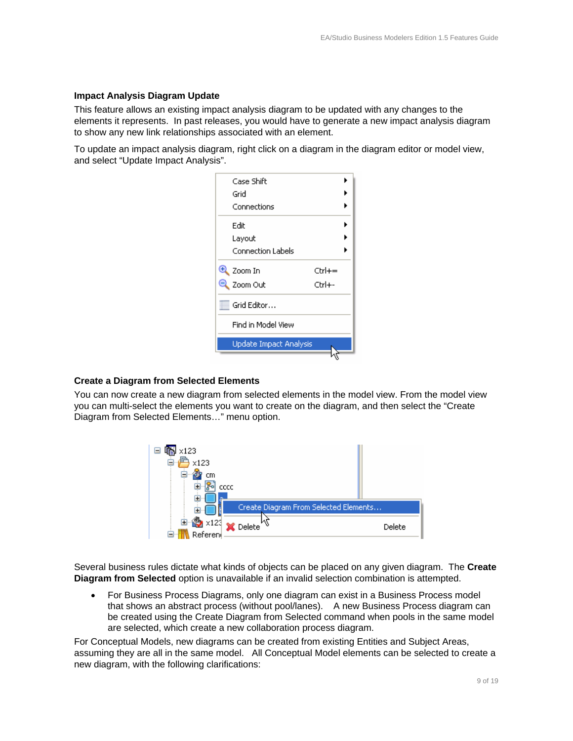#### **Impact Analysis Diagram Update**

This feature allows an existing impact analysis diagram to be updated with any changes to the elements it represents. In past releases, you would have to generate a new impact analysis diagram to show any new link relationships associated with an element.

To update an impact analysis diagram, right click on a diagram in the diagram editor or model view, and select "Update Impact Analysis".

| Case Shift                     |        |
|--------------------------------|--------|
| Grid                           |        |
| Connections                    |        |
| Edit                           |        |
| Layout                         |        |
| <b>Connection Labels</b>       |        |
| $\left( \pm\right)$<br>Zoom In | Ctrl+= |
| Zoom Out                       | Ctrl+- |
| Grid Editor                    |        |
| Find in Model View             |        |
| <b>Update Impact Analysis</b>  |        |
|                                |        |

#### **Create a Diagram from Selected Elements**

You can now create a new diagram from selected elements in the model view. From the model view you can multi-select the elements you want to create on the diagram, and then select the "Create Diagram from Selected Elements…" menu option.



Several business rules dictate what kinds of objects can be placed on any given diagram. The **Create Diagram from Selected** option is unavailable if an invalid selection combination is attempted.

• For Business Process Diagrams, only one diagram can exist in a Business Process model that shows an abstract process (without pool/lanes). A new Business Process diagram can be created using the Create Diagram from Selected command when pools in the same model are selected, which create a new collaboration process diagram.

For Conceptual Models, new diagrams can be created from existing Entities and Subject Areas, assuming they are all in the same model. All Conceptual Model elements can be selected to create a new diagram, with the following clarifications: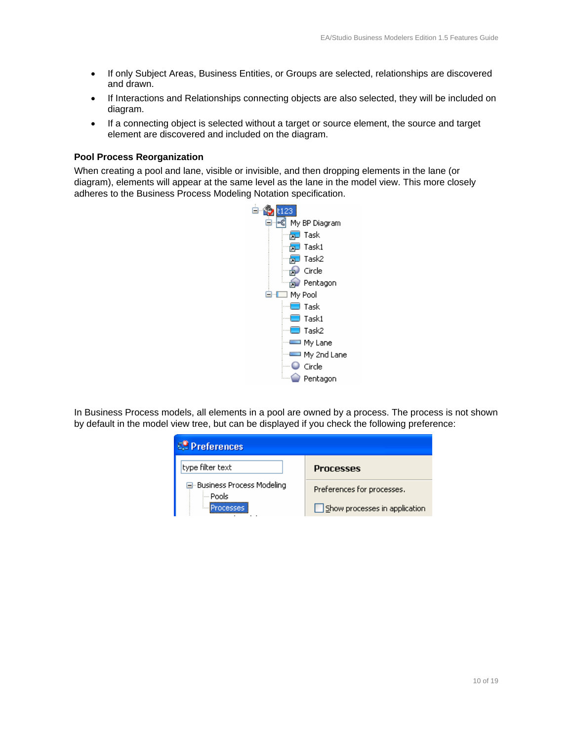- If only Subject Areas, Business Entities, or Groups are selected, relationships are discovered and drawn.
- If Interactions and Relationships connecting objects are also selected, they will be included on diagram.
- If a connecting object is selected without a target or source element, the source and target element are discovered and included on the diagram.

#### **Pool Process Reorganization**

When creating a pool and lane, visible or invisible, and then dropping elements in the lane (or diagram), elements will appear at the same level as the lane in the model view. This more closely adheres to the Business Process Modeling Notation specification.



In Business Process models, all elements in a pool are owned by a process. The process is not shown by default in the model view tree, but can be displayed if you check the following preference:

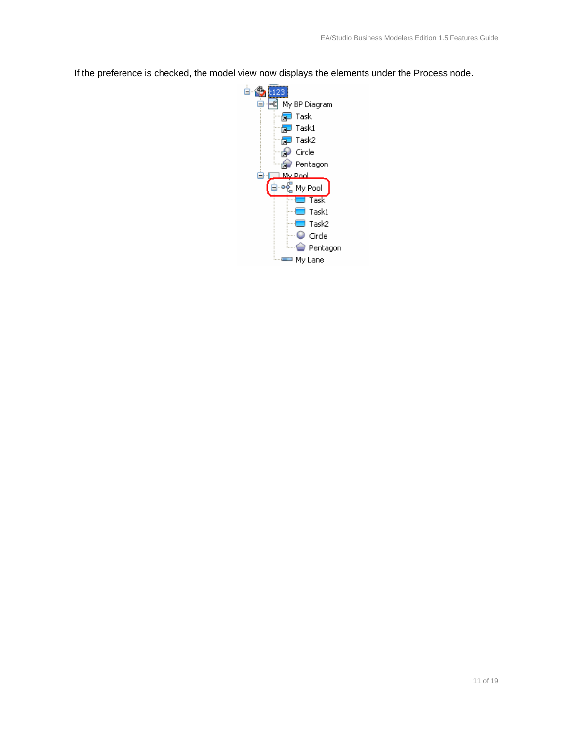If the preference is checked, the model view now displays the elements under the Process node.

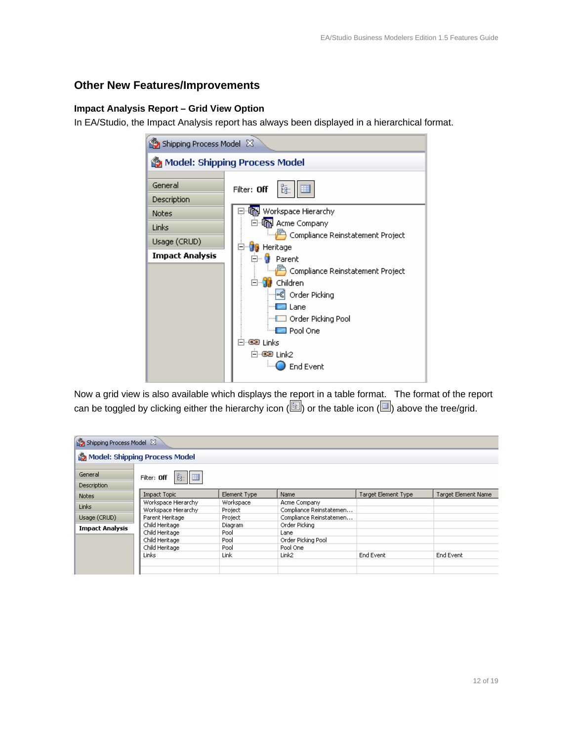# **Other New Features/Improvements**

#### **Impact Analysis Report – Grid View Option**

In EA/Studio, the Impact Analysis report has always been displayed in a hierarchical format.

| Shipping Process Model &               |                                              |  |  |  |
|----------------------------------------|----------------------------------------------|--|--|--|
|                                        | Model: Shipping Process Model                |  |  |  |
| General<br>Description                 | Filter: Off                                  |  |  |  |
| <b>Notes</b>                           | Workspace Hierarchy<br>iiii) Acme Company    |  |  |  |
| Links                                  | Compliance Reinstatement Project             |  |  |  |
| Usage (CRUD)<br><b>Impact Analysis</b> | Heritage<br>Parent<br>Œ                      |  |  |  |
|                                        | Compliance Reinstatement Project<br>Children |  |  |  |
|                                        | 喝<br>Order Picking<br>Lane                   |  |  |  |
|                                        | □ Order Picking Pool<br>□ Pool One           |  |  |  |
|                                        | ∃∵®® Links                                   |  |  |  |
|                                        | ⊟ ©® Link2<br>End Event                      |  |  |  |

Now a grid view is also available which displays the report in a table format. The format of the report can be toggled by clicking either the hierarchy icon ( $\Box$ ) or the table icon ( $\Box$ ) above the tree/grid.

| Shipping Process Model 23     |                               |              |                         |                            |                            |
|-------------------------------|-------------------------------|--------------|-------------------------|----------------------------|----------------------------|
|                               | Model: Shipping Process Model |              |                         |                            |                            |
| General<br><b>Description</b> | 阻阻<br>Filter: Off             |              |                         |                            |                            |
| <b>Notes</b>                  | <b>Impact Topic</b>           | Element Type | Name                    | <b>Target Element Type</b> | <b>Target Element Name</b> |
|                               | Workspace Hierarchy           | Workspace    | Acme Company            |                            |                            |
| Links                         | Workspace Hierarchy           | Project      | Compliance Reinstatemen |                            |                            |
| Usage (CRUD)                  | Parent Heritage               | Project      | Compliance Reinstatemen |                            |                            |
| <b>Impact Analysis</b>        | Child Heritage                | Diagram      | Order Picking           |                            |                            |
|                               | Child Heritage                | Pool         | Lane                    |                            |                            |
|                               | Child Heritage                | Pool         | Order Picking Pool      |                            |                            |
|                               | Child Heritage                | Pool         | Pool One                |                            |                            |
|                               | Links                         | Link         | Link <sub>2</sub>       | End Event                  | End Event                  |
|                               |                               |              |                         |                            |                            |
|                               |                               |              |                         |                            |                            |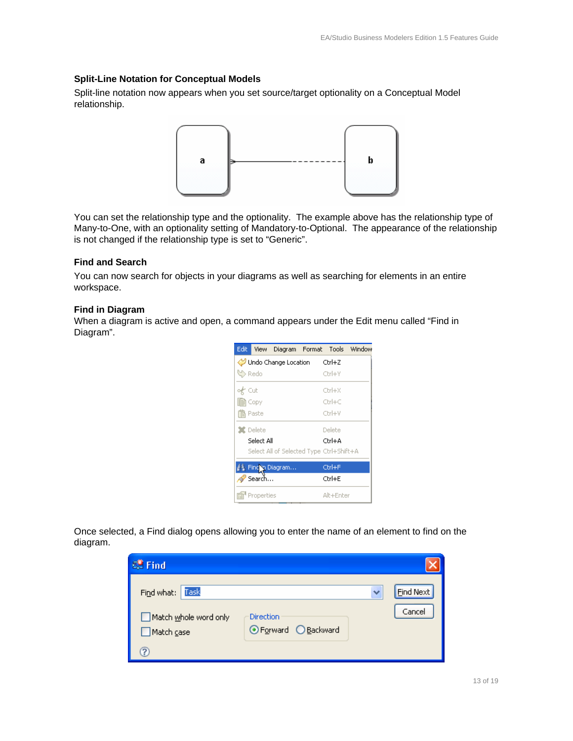#### **Split-Line Notation for Conceptual Models**

Split-line notation now appears when you set source/target optionality on a Conceptual Model relationship.



You can set the relationship type and the optionality. The example above has the relationship type of Many-to-One, with an optionality setting of Mandatory-to-Optional. The appearance of the relationship is not changed if the relationship type is set to "Generic".

#### **Find and Search**

You can now search for objects in your diagrams as well as searching for elements in an entire workspace.

#### **Find in Diagram**

When a diagram is active and open, a command appears under the Edit menu called "Find in Diagram".

| Edit:   |                             | View Diagram Format Tools Window         |  |           |  |
|---------|-----------------------------|------------------------------------------|--|-----------|--|
|         | Undo Change Location Ctrl+Z |                                          |  |           |  |
| い Redo  |                             |                                          |  | Ctrl+Y    |  |
| o∦ Cut  |                             |                                          |  | Ctrl+X    |  |
| ll Copy |                             |                                          |  | $Cbrl+C$  |  |
|         | Paste                       |                                          |  | Ctrl+V    |  |
|         | $\mathbf x$ Delete          |                                          |  | Delete    |  |
|         | Select All                  |                                          |  | Chrl+A    |  |
|         |                             | Select All of Selected Type Ctrl+Shift+A |  |           |  |
|         |                             | 詳 Fincin Diagram                         |  | Ctrl+F    |  |
|         | Search                      |                                          |  | Ctrl+E    |  |
|         | Properties                  |                                          |  | Alt+Enter |  |

Once selected, a Find dialog opens allowing you to enter the name of an element to find on the diagram.

| <b>S</b> <sup>9</sup> Find                 |                                          |           |
|--------------------------------------------|------------------------------------------|-----------|
| Find what: Task                            |                                          | Find Next |
| Match whole word only<br>$\Box$ Match case | <b>Direction</b><br>⊙ Forward ○ Backward | Cancel    |
|                                            |                                          |           |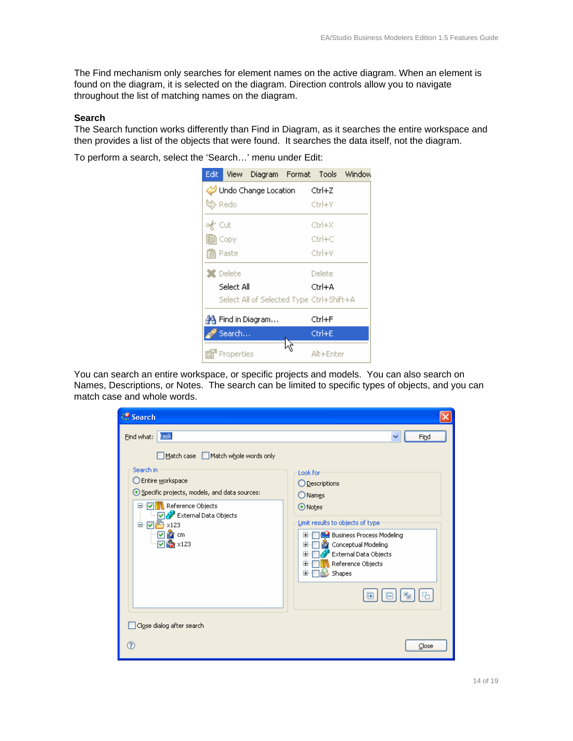The Find mechanism only searches for element names on the active diagram. When an element is found on the diagram, it is selected on the diagram. Direction controls allow you to navigate throughout the list of matching names on the diagram.

#### **Search**

The Search function works differently than Find in Diagram, as it searches the entire workspace and then provides a list of the objects that were found. It searches the data itself, not the diagram.

To perform a search, select the 'Search…' menu under Edit:



You can search an entire workspace, or specific projects and models. You can also search on Names, Descriptions, or Notes. The search can be limited to specific types of objects, and you can match case and whole words.

| <b>89 Search</b>                                                                                                     |                                                                                                                                                                                                                                        |
|----------------------------------------------------------------------------------------------------------------------|----------------------------------------------------------------------------------------------------------------------------------------------------------------------------------------------------------------------------------------|
| task<br>Find what:                                                                                                   | Find<br>×                                                                                                                                                                                                                              |
| Match case Match whole words only<br>Search in<br>Entire workspace<br>⊙ Specific projects, models, and data sources: | Look for<br>◯ Descriptions<br>O Names                                                                                                                                                                                                  |
| Reference Objects<br>⊟∾⊽<br><b>External Data Objects</b><br><b>吗 x123</b><br>ė.<br>☑<br>@prom<br><b>●</b> ×123       | ⊙Notes<br>Limit results to objects of type<br><b>AU</b> Business Process Modeling<br>$\mathbf \Xi$<br><b>22</b> Conceptual Modeling<br>$\mathbf{F}$<br><b>External Data Objects</b><br>Ŧ<br>Reference Objects<br>Œ<br>Shapes<br>Ŧ<br>⊩ |
| Close dialog after search                                                                                            |                                                                                                                                                                                                                                        |
| ℗                                                                                                                    | Close                                                                                                                                                                                                                                  |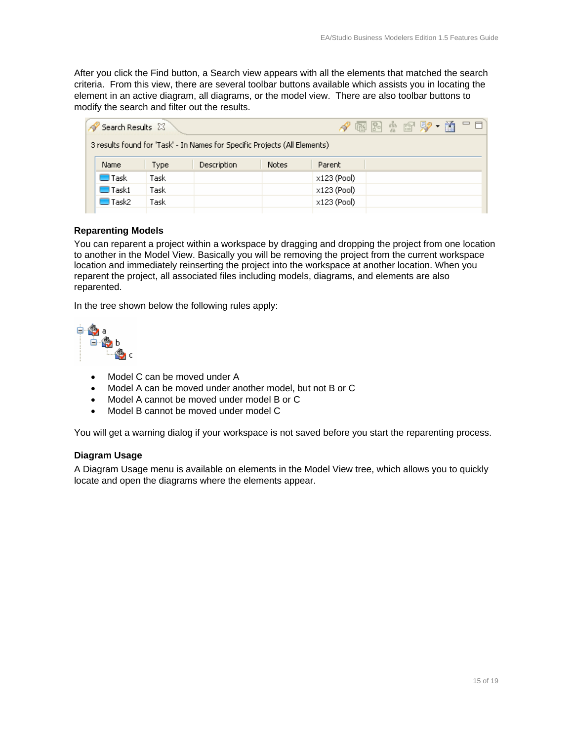After you click the Find button, a Search view appears with all the elements that matched the search criteria. From this view, there are several toolbar buttons available which assists you in locating the element in an active diagram, all diagrams, or the model view. There are also toolbar buttons to modify the search and filter out the results.

| Search Results &                                                           |      |             |       | √ 雨 Fi 속 @ F⁄ • á = □ |  |  |  |  |
|----------------------------------------------------------------------------|------|-------------|-------|-----------------------|--|--|--|--|
| 3 results found for 'Task' - In Names for Specific Projects (All Elements) |      |             |       |                       |  |  |  |  |
| <b>Name</b>                                                                | Type | Description | Notes | Parent                |  |  |  |  |
| □ Task                                                                     | Task |             |       | x123 (Pool)           |  |  |  |  |
| $\Box$ Task1                                                               | Task |             |       | x123 (Pool)           |  |  |  |  |
| $\Box$ Task2                                                               | Task |             |       | x123 (Pool)           |  |  |  |  |

#### **Reparenting Models**

You can reparent a project within a workspace by dragging and dropping the project from one location to another in the Model View. Basically you will be removing the project from the current workspace location and immediately reinserting the project into the workspace at another location. When you reparent the project, all associated files including models, diagrams, and elements are also reparented.

In the tree shown below the following rules apply:



- Model C can be moved under A
- Model A can be moved under another model, but not B or C
- Model A cannot be moved under model B or C
- Model B cannot be moved under model C

You will get a warning dialog if your workspace is not saved before you start the reparenting process.

#### **Diagram Usage**

A Diagram Usage menu is available on elements in the Model View tree, which allows you to quickly locate and open the diagrams where the elements appear.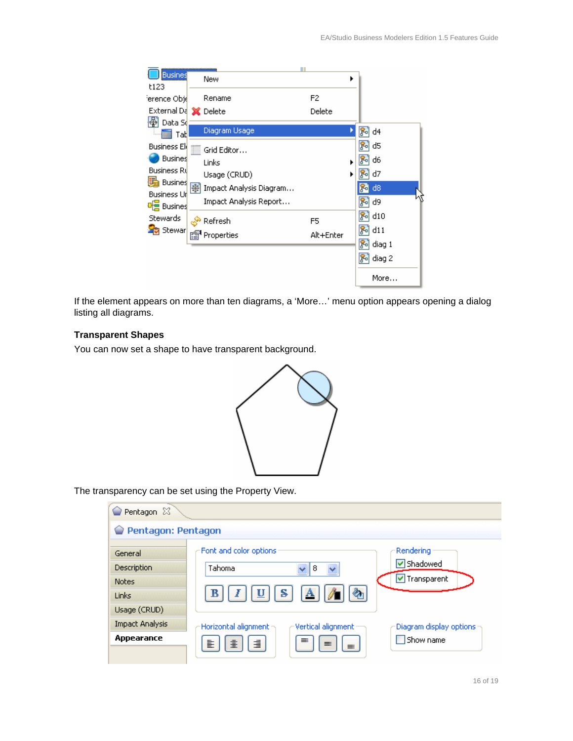| <b>Busines</b>                |   |                         |           |   |              |
|-------------------------------|---|-------------------------|-----------|---|--------------|
| t123                          |   | New                     |           | ▶ |              |
| 'erence Obj(                  |   | Rename                  | F2        |   |              |
| External Da X Delete          |   |                         | Delete    |   |              |
| 闛<br>Data So<br>Tat           |   | Diagram Usage           |           |   | d4<br>႙ၟၟ    |
| <b>Business Ele</b>           |   | Grid Editor             |           |   | d5<br>у۰     |
| <b>Busines</b>                |   | Links                   |           |   | d6           |
| <b>Business Ru</b>            |   | Usage (CRUD)            |           | ▶ | d7           |
| Busines<br><b>Business Ur</b> | 亊 | Impact Analysis Diagram |           |   | d8           |
| de Busines                    |   | Impact Analysis Report  |           |   | d9           |
| <b>Stewards</b>               |   | Refresh                 | F5        |   | d10          |
| <mark>B</mark> Stewar         |   | Properties              | Alt+Enter |   | d11          |
|                               |   |                         |           |   | diag 1<br>Xо |
|                               |   |                         |           |   | diag 2       |
|                               |   |                         |           |   | More         |

If the element appears on more than ten diagrams, a 'More…' menu option appears opening a dialog listing all diagrams.

### **Transparent Shapes**

You can now set a shape to have transparent background.



The transparency can be set using the Property View.

| Pentagon 23            |                                              |                           |
|------------------------|----------------------------------------------|---------------------------|
| Pentagon: Pentagon     |                                              |                           |
| General                | Font and color options                       | Rendering                 |
| Description            | Tahoma<br>8                                  | V Shadowed                |
| <b>Notes</b>           |                                              | V Transparent             |
| Links                  | क<br>s<br>$\mathbf{A}$<br>υ<br>в             |                           |
| Usage (CRUD)           |                                              |                           |
| <b>Impact Analysis</b> | Horizontal alignment -<br>Vertical alignment | Diagram display options : |
| Appearance             | ≡<br>這<br>害<br>圭<br>$\equiv$                 | Show name                 |
|                        | $\equiv$                                     |                           |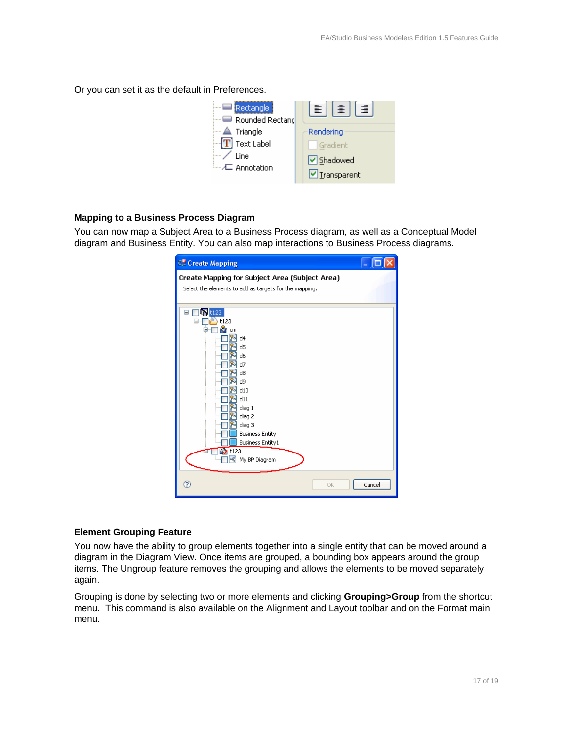Or you can set it as the default in Preferences.



#### **Mapping to a Business Process Diagram**

You can now map a Subject Area to a Business Process diagram, as well as a Conceptual Model diagram and Business Entity. You can also map interactions to Business Process diagrams.

| <sup>5</sup> Create Mapping                                                                                                                                                                                                                                                                           |        |
|-------------------------------------------------------------------------------------------------------------------------------------------------------------------------------------------------------------------------------------------------------------------------------------------------------|--------|
| Create Mapping for Subject Area (Subject Area)<br>Select the elements to add as targets for the mapping.                                                                                                                                                                                              |        |
| t123<br>Θ<br>t123<br>cm<br>81<br>d4<br>d <sub>5</sub><br>Уo<br>d6<br>۲ol<br>d7<br>ю<br>d8<br>۲ol<br>d9<br>rol<br>ያብ d10<br>d11<br>Хo<br>diag 1<br>Уo<br>diag 2<br>۶۰<br>diag 3<br><b>Business Entity</b><br><b>Business Entity1</b><br>t123<br>$\mathbf{p}_{\mathbf{q}}^{\text{eq}}$<br>My BP Diagram |        |
| ⊚<br>OK                                                                                                                                                                                                                                                                                               | Cancel |

#### **Element Grouping Feature**

You now have the ability to group elements together into a single entity that can be moved around a diagram in the Diagram View. Once items are grouped, a bounding box appears around the group items. The Ungroup feature removes the grouping and allows the elements to be moved separately again.

Grouping is done by selecting two or more elements and clicking **Grouping>Group** from the shortcut menu. This command is also available on the Alignment and Layout toolbar and on the Format main menu.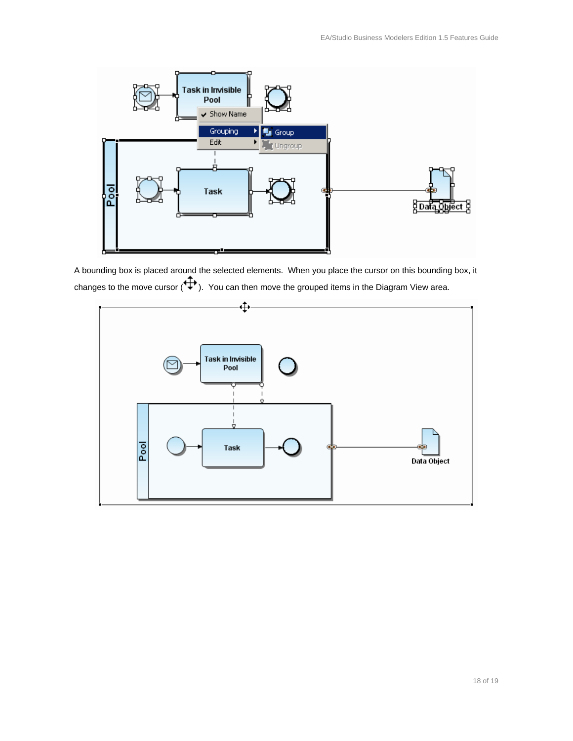

A bounding box is placed around the selected elements. When you place the cursor on this bounding box, it changes to the move cursor  $(\overrightarrow{+})$ . You can then move the grouped items in the Diagram View area.